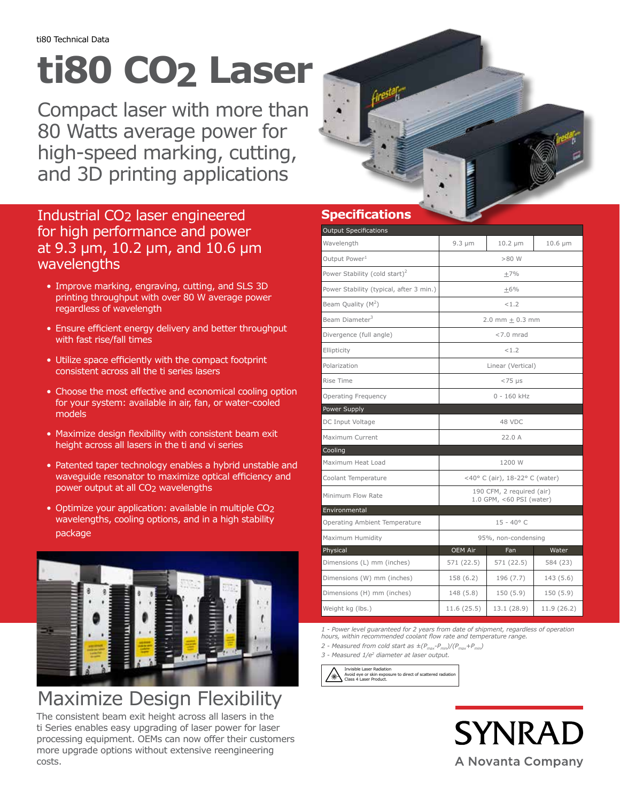## **ti80 CO2 Laser**

Compact laser with more than 80 Watts average power for high-speed marking, cutting, and 3D printing applications

### Industrial CO2 laser engineered for high performance and power at 9.3 μm, 10.2 μm, and 10.6 μm wavelengths

- Improve marking, engraving, cutting, and SLS 3D printing throughput with over 80 W average power regardless of wavelength
- Ensure efficient energy delivery and better throughput with fast rise/fall times
- Utilize space efficiently with the compact footprint consistent across all the ti series lasers
- Choose the most effective and economical cooling option for your system: available in air, fan, or water-cooled models
- Maximize design flexibility with consistent beam exit height across all lasers in the ti and vi series
- Patented taper technology enables a hybrid unstable and waveguide resonator to maximize optical efficiency and power output at all CO<sub>2</sub> wavelengths
- Optimize your application: available in multiple CO2 wavelengths, cooling options, and in a high stability package



### Maximize Design Flexibility

The consistent beam exit height across all lasers in the ti Series enables easy upgrading of laser power for laser processing equipment. OEMs can now offer their customers more upgrade options without extensive reengineering costs.



### **Specifications**

| <b>Output Specifications</b>              |                                                       |              |              |
|-------------------------------------------|-------------------------------------------------------|--------------|--------------|
| Wavelength                                | $9.3 \mu m$                                           | $10.2 \mu m$ | $10.6 \mu m$ |
| Output Power <sup>1</sup>                 | $>80$ W                                               |              |              |
| Power Stability (cold start) <sup>2</sup> | $+7%$                                                 |              |              |
| Power Stability (typical, after 3 min.)   | $\pm 6\%$                                             |              |              |
| Beam Quality $(M^2)$                      | < 1.2                                                 |              |              |
| Beam Diameter <sup>3</sup>                | 2.0 mm $\pm$ 0.3 mm                                   |              |              |
| Divergence (full angle)                   | $< 7.0$ mrad                                          |              |              |
| Ellipticity                               | < 1.2                                                 |              |              |
| Polarization                              | Linear (Vertical)                                     |              |              |
| Rise Time                                 | $< 75 \mu s$                                          |              |              |
| Operating Frequency                       | $0 - 160$ kHz                                         |              |              |
| Power Supply                              |                                                       |              |              |
| DC Input Voltage                          | 48 VDC                                                |              |              |
| Maximum Current                           | 22.0A                                                 |              |              |
| Cooling                                   |                                                       |              |              |
| Maximum Heat Load                         | 1200 W                                                |              |              |
| Coolant Temperature                       | <40° C (air), 18-22° C (water)                        |              |              |
| Minimum Flow Rate                         | 190 CFM, 2 required (air)<br>1.0 GPM, <60 PSI (water) |              |              |
| Environmental                             |                                                       |              |              |
| Operating Ambient Temperature             | $15 - 40^{\circ}$ C                                   |              |              |
| Maximum Humidity                          | 95%, non-condensing                                   |              |              |
| Physical                                  | OEM Air                                               | Fan          | Water        |
| Dimensions (L) mm (inches)                | 571 (22.5)                                            | 571 (22.5)   | 584 (23)     |
| Dimensions (W) mm (inches)                | 158 (6.2)                                             | 196(7.7)     | 143 (5.6)    |
| Dimensions (H) mm (inches)                | 148 (5.8)                                             | 150(5.9)     | 150 (5.9)    |
| Weight kg (lbs.)                          | 11.6 (25.5)                                           | 13.1 (28.9)  | 11.9 (26.2)  |

*1 - Power level guaranteed for 2 years from date of shipment, regardless of operation hours, within recommended coolant flow rate and temperature range.*

2 - Measured from cold start as  $\pm (P_{max}-P_{min})/(P_{max}+P_{min})$ *3 - Measured 1/e2 diameter at laser output.*